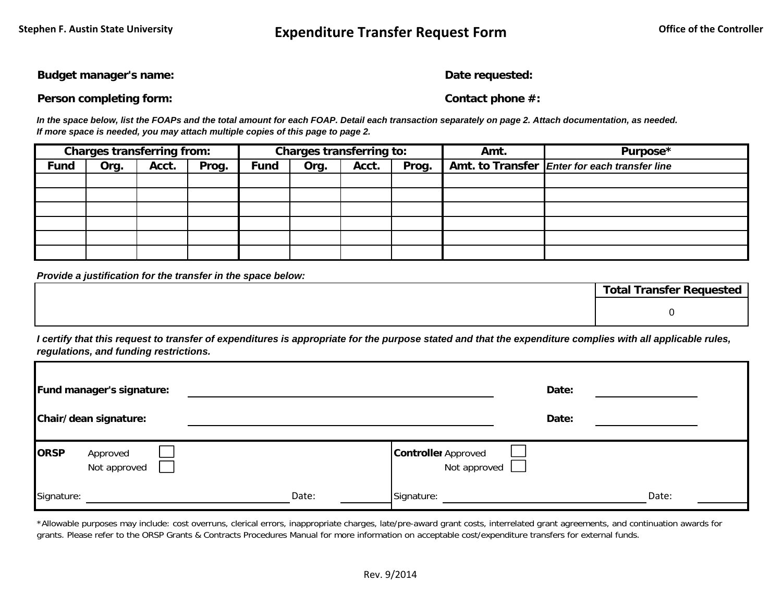**Budget manager's name: Date requested: Date requested:** 

**Person completing form: Contact phone #:** 

*In the space below, list the FOAPs and the total amount for each FOAP. Detail each transaction separately on page 2. Attach documentation, as needed. If more space is needed, you may attach multiple copies of this page to page 2.*

|             | <b>Charges transferring from:</b> |       |       | Charges transferring to: |      |       |       | Amt. | Purpose*                                      |
|-------------|-----------------------------------|-------|-------|--------------------------|------|-------|-------|------|-----------------------------------------------|
| <b>Fund</b> | Org.                              | Acct. | Prog. | <b>Fund</b>              | Org. | Acct. | Prog. |      | Amt. to Transfer Enter for each transfer line |
|             |                                   |       |       |                          |      |       |       |      |                                               |
|             |                                   |       |       |                          |      |       |       |      |                                               |
|             |                                   |       |       |                          |      |       |       |      |                                               |
|             |                                   |       |       |                          |      |       |       |      |                                               |
|             |                                   |       |       |                          |      |       |       |      |                                               |
|             |                                   |       |       |                          |      |       |       |      |                                               |

*Provide a justification for the transfer in the space below:*

| <b>Total Transfer Requested</b> |  |  |  |  |  |  |  |  |
|---------------------------------|--|--|--|--|--|--|--|--|
|                                 |  |  |  |  |  |  |  |  |
|                                 |  |  |  |  |  |  |  |  |

*I certify that this request to transfer of expenditures is appropriate for the purpose stated and that the expenditure complies with all applicable rules, regulations, and funding restrictions.*

| Fund manager's signature:               |       | Date:                                             |       |       |
|-----------------------------------------|-------|---------------------------------------------------|-------|-------|
| Chair/dean signature:                   |       |                                                   | Date: |       |
| <b>ORSP</b><br>Approved<br>Not approved |       | <b>Controller Approved</b><br>Not approved $\Box$ |       |       |
| Signature:                              | Date: | Signature:                                        |       | Date: |

\*Allowable purposes may include: cost overruns, clerical errors, inappropriate charges, late/pre-award grant costs, interrelated grant agreements, and continuation awards for grants. Please refer to the ORSP Grants & Contracts Procedures Manual for more information on acceptable cost/expenditure transfers for external funds.